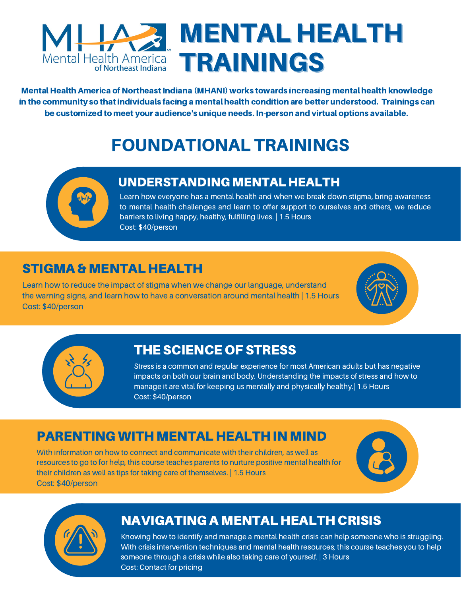

Mental Health America of Northeast Indiana (MHANI) works towards increasing mental health knowledge in the community so that individuals facing a mental health condition are better understood. Trainings can be customized to meet your audience's unique needs. In-person and virtual options available.

# FOUNDATIONAL TRAININGS



### UNDERSTANDING MENTAL HEALTH

Learn how everyone has a mental health and when we break down stigma, bring awareness to mental health challenges and learn to offer support to ourselves and others, we reduce barriers to living happy, healthy, fulfilling lives. | 1.5 Hours Cost: \$40/person

## STIGMA & MENTAL HEALTH

Learn how to reduce the impact of stigma when we change our language, understand the warning signs, and learn how to have a conversation around mental health | 1.5 Hours Cost: \$40/person





## THE SCIENCE OF STRESS

Stress is a common and regular experience for most American adults but has negative impacts on both our brain and body. Understanding the impacts of stress and how to manage it are vital for keeping us mentally and physically healthy.| 1.5 Hours Cost: \$40/person

## PARENTING WITH MENTAL HEALTH IN MIND

With information on how to connect and communicate with their children, as well as resources to go to for help, this course teaches parents to nurture positive mental health for their children as well as tips for taking care of themselves. | 1.5 Hours Cost: \$40/person





## NAVIGATING A MENTAL HEALTH CRISIS

Knowing how to identify and manage a mental health crisis can help someone who is struggling. With crisis intervention techniques and mental health resources, this course teaches you to help someone through a crisis while also taking care of yourself. | 3 Hours Cost: Contact for pricing